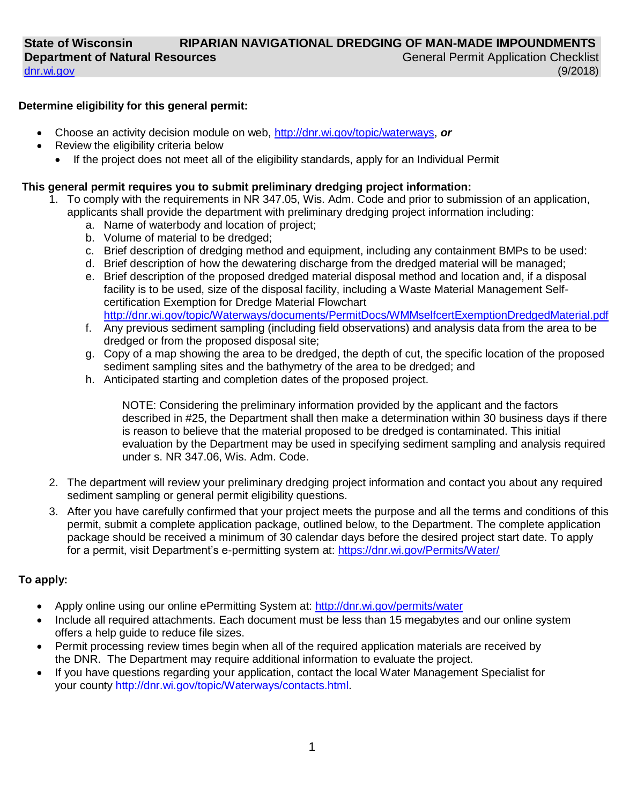## **Determine eligibility for this general permit:**

- Choose an activity decision module on web, [http://dnr.wi.gov/topic/waterways,](https://dnr.wi.gov/topic/waterways/) *or*
- Review the eligibility criteria below
	- If the project does not meet all of the eligibility standards, apply for an Individual Permit

## **This general permit requires you to submit preliminary dredging project information:**

- 1. To comply with the requirements in NR 347.05, Wis. Adm. Code and prior to submission of an application, applicants shall provide the department with preliminary dredging project information including:
	- a. Name of waterbody and location of project;
	- b. Volume of material to be dredged;
	- c. Brief description of dredging method and equipment, including any containment BMPs to be used:
	- d. Brief description of how the dewatering discharge from the dredged material will be managed;
	- e. Brief description of the proposed dredged material disposal method and location and, if a disposal facility is to be used, size of the disposal facility, including a Waste Material Management Selfcertification Exemption for Dredge Material Flowchart <http://dnr.wi.gov/topic/Waterways/documents/PermitDocs/WMMselfcertExemptionDredgedMaterial.pdf>
	- f. Any previous sediment sampling (including field observations) and analysis data from the area to be dredged or from the proposed disposal site;
	- g. Copy of a map showing the area to be dredged, the depth of cut, the specific location of the proposed sediment sampling sites and the bathymetry of the area to be dredged; and
	- h. Anticipated starting and completion dates of the proposed project.

NOTE: Considering the preliminary information provided by the applicant and the factors described in #25, the Department shall then make a determination within 30 business days if there is reason to believe that the material proposed to be dredged is contaminated. This initial evaluation by the Department may be used in specifying sediment sampling and analysis required under s. NR 347.06, Wis. Adm. Code.

- 2. The department will review your preliminary dredging project information and contact you about any required sediment sampling or general permit eligibility questions.
- 3. After you have carefully confirmed that your project meets the purpose and all the terms and conditions of this permit, submit a complete application package, outlined below, to the Department. The complete application package should be received a minimum of 30 calendar days before the desired project start date. To apply for a permit, visit Department's e-permitting system at:<https://dnr.wi.gov/Permits/Water/>

# **To apply:**

- Apply online using our online ePermitting System at: [http://dnr.wi.gov/permits/water](https://dnr.wi.gov/permits/water/)
- Include all required attachments. Each document must be less than 15 megabytes and our online system offers a help guide to reduce file sizes.
- Permit processing review times begin when all of the required application materials are received by the DNR. The Department may require additional information to evaluate the project.
- If you have questions regarding your application, contact the local Water Management Specialist for your county [http://dnr.wi.gov/topic/Waterways/contacts.html.](http://dnr.wi.gov/topic/Waterways/contacts.html)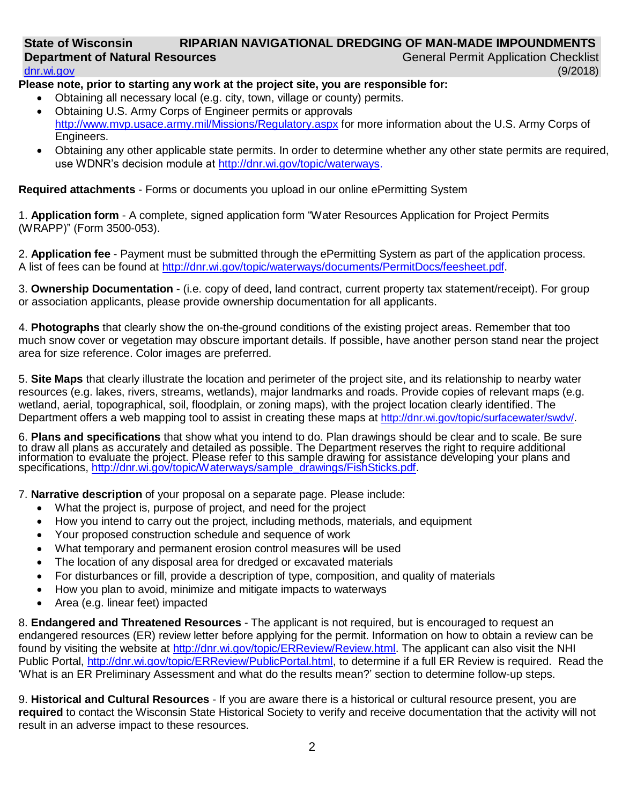#### **State of Wisconsin Department of Natural Resources** [dnr.wi.gov](http://dnr.wi.gov/)  **RIPARIAN NAVIGATIONAL DREDGING OF MAN-MADE IMPOUNDMENTS** General Permit Application Checklist (9/2018)

# **Please note, prior to starting any work at the project site, you are responsible for:**

- Obtaining all necessary local (e.g. city, town, village or county) permits. • Obtaining U.S. Army Corps of Engineer permits or approvals
- <http://www.mvp.usace.army.mil/Missions/Regulatory.aspx> for more information about the U.S. Army Corps of Engineers.
- Obtaining any other applicable state permits. In order to determine whether any other state permits are required, use WDNR's decision module at [http://dnr.wi.gov/topic/waterways.](http://dnr.wi.gov/topic/waterways)

**Required attachments** - Forms or documents you upload in our online ePermitting System

1. **Application form** - A complete, signed application form "Water Resources Application for Project Permits (WRAPP)" (Form 3500-053).

2. **Application fee** - Payment must be submitted through the ePermitting System as part of the application process. A list of fees can be found at [http://dnr.wi.gov/topic/waterways/documents/PermitDocs/feesheet.pdf.](https://dnr.wi.gov/topic/waterways/documents/permitdocs/feesheet.pdf)

3. **Ownership Documentation** - (i.e. copy of deed, land contract, current property tax statement/receipt). For group or association applicants, please provide ownership documentation for all applicants.

4. **Photographs** that clearly show the on-the-ground conditions of the existing project areas. Remember that too much snow cover or vegetation may obscure important details. If possible, have another person stand near the project area for size reference. Color images are preferred.

5. **Site Maps** that clearly illustrate the location and perimeter of the project site, and its relationship to nearby water resources (e.g. lakes, rivers, streams, wetlands), major landmarks and roads. Provide copies of relevant maps (e.g. wetland, aerial, topographical, soil, floodplain, or zoning maps), with the project location clearly identified. The Department offers a web mapping tool to assist in creating these maps at [http://dnr.wi.gov/topic/surfacewater/swdv/.](http://dnr.wi.gov/topic/surfacewater/swdv/)

6. **Plans and specifications** that show what you intend to do. Plan drawings should be clear and to scale. Be sure to draw all plans as accurately and detailed as possible. The Department reserves the right to require additional information to evaluate the project. Please refer to this sample drawing for assistance developing your plans and specifications, [http://dnr.wi.gov/topic/Waterways/sample\\_drawings/FishSticks.pdf.](http://dnr.wi.gov/topic/Waterways/sample_drawings/FishSticks.pdf)

7. **Narrative description** of your proposal on a separate page. Please include:

- What the project is, purpose of project, and need for the project
- How you intend to carry out the project, including methods, materials, and equipment
- Your proposed construction schedule and sequence of work
- What temporary and permanent erosion control measures will be used
- The location of any disposal area for dredged or excavated materials
- For disturbances or fill, provide a description of type, composition, and quality of materials
- How you plan to avoid, minimize and mitigate impacts to waterways
- Area (e.g. linear feet) impacted

8. **Endangered and Threatened Resources** - The applicant is not required, but is encouraged to request an endangered resources (ER) review letter before applying for the permit. Information on how to obtain a review can be found by visiting the website at [http://dnr.wi.gov/topic/ERReview/Review.html.](http://dnr.wi.gov/topic/ERReview/Review.html) The applicant can also visit the NHI Public Portal, [http://dnr.wi.gov/topic/ERReview/PublicPortal.html,](http://dnr.wi.gov/topic/ERReview/PublicPortal.html) to determine if a full ER Review is required. Read the 'What is an ER Preliminary Assessment and what do the results mean?' section to determine follow-up steps.

9. **Historical and Cultural Resources** - If you are aware there is a historical or cultural resource present, you are **required** to contact the Wisconsin State Historical Society to verify and receive documentation that the activity will not result in an adverse impact to these resources.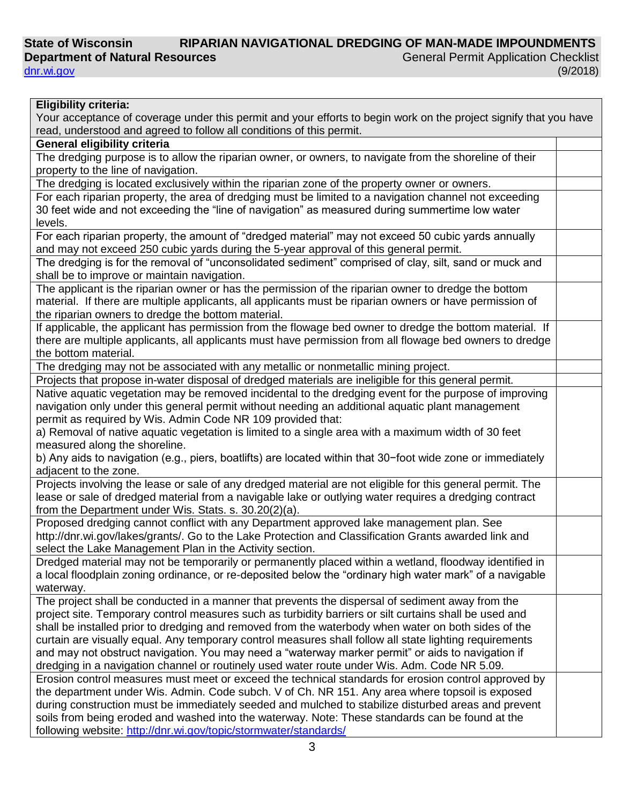#### **State of Wisconsin Department of Natural Resources RIPARIAN NAVIGATIONAL DREDGING OF MAN-MADE IMPOUNDMENTS** General Permit Application Checklist (9/2018)

[dnr.wi.gov](http://dnr.wi.gov/)

| <b>Eligibility criteria:</b>                                                                                      |  |
|-------------------------------------------------------------------------------------------------------------------|--|
| Your acceptance of coverage under this permit and your efforts to begin work on the project signify that you have |  |
| read, understood and agreed to follow all conditions of this permit.                                              |  |
| <b>General eligibility criteria</b>                                                                               |  |
| The dredging purpose is to allow the riparian owner, or owners, to navigate from the shoreline of their           |  |
| property to the line of navigation.                                                                               |  |
| The dredging is located exclusively within the riparian zone of the property owner or owners.                     |  |
| For each riparian property, the area of dredging must be limited to a navigation channel not exceeding            |  |
| 30 feet wide and not exceeding the "line of navigation" as measured during summertime low water                   |  |
| levels.                                                                                                           |  |
| For each riparian property, the amount of "dredged material" may not exceed 50 cubic yards annually               |  |
| and may not exceed 250 cubic yards during the 5-year approval of this general permit.                             |  |
| The dredging is for the removal of "unconsolidated sediment" comprised of clay, silt, sand or muck and            |  |
| shall be to improve or maintain navigation.                                                                       |  |
| The applicant is the riparian owner or has the permission of the riparian owner to dredge the bottom              |  |
| material. If there are multiple applicants, all applicants must be riparian owners or have permission of          |  |
| the riparian owners to dredge the bottom material.                                                                |  |
| If applicable, the applicant has permission from the flowage bed owner to dredge the bottom material. If          |  |
| there are multiple applicants, all applicants must have permission from all flowage bed owners to dredge          |  |
| the bottom material.                                                                                              |  |
|                                                                                                                   |  |
| The dredging may not be associated with any metallic or nonmetallic mining project.                               |  |
| Projects that propose in-water disposal of dredged materials are ineligible for this general permit.              |  |
| Native aquatic vegetation may be removed incidental to the dredging event for the purpose of improving            |  |
| navigation only under this general permit without needing an additional aquatic plant management                  |  |
| permit as required by Wis. Admin Code NR 109 provided that:                                                       |  |
| a) Removal of native aquatic vegetation is limited to a single area with a maximum width of 30 feet               |  |
| measured along the shoreline.                                                                                     |  |
| b) Any aids to navigation (e.g., piers, boatlifts) are located within that 30-foot wide zone or immediately       |  |
| adjacent to the zone.                                                                                             |  |
| Projects involving the lease or sale of any dredged material are not eligible for this general permit. The        |  |
| lease or sale of dredged material from a navigable lake or outlying water requires a dredging contract            |  |
| from the Department under Wis. Stats. s. 30.20(2)(a).                                                             |  |
| Proposed dredging cannot conflict with any Department approved lake management plan. See                          |  |
| http://dnr.wi.gov/lakes/grants/. Go to the Lake Protection and Classification Grants awarded link and             |  |
| select the Lake Management Plan in the Activity section.                                                          |  |
| Dredged material may not be temporarily or permanently placed within a wetland, floodway identified in            |  |
| a local floodplain zoning ordinance, or re-deposited below the "ordinary high water mark" of a navigable          |  |
| waterway.                                                                                                         |  |
| The project shall be conducted in a manner that prevents the dispersal of sediment away from the                  |  |
| project site. Temporary control measures such as turbidity barriers or silt curtains shall be used and            |  |
| shall be installed prior to dredging and removed from the waterbody when water on both sides of the               |  |
| curtain are visually equal. Any temporary control measures shall follow all state lighting requirements           |  |
| and may not obstruct navigation. You may need a "waterway marker permit" or aids to navigation if                 |  |
| dredging in a navigation channel or routinely used water route under Wis. Adm. Code NR 5.09.                      |  |
| Erosion control measures must meet or exceed the technical standards for erosion control approved by              |  |
| the department under Wis. Admin. Code subch. V of Ch. NR 151. Any area where topsoil is exposed                   |  |
| during construction must be immediately seeded and mulched to stabilize disturbed areas and prevent               |  |
| soils from being eroded and washed into the waterway. Note: These standards can be found at the                   |  |
| following website: http://dnr.wi.gov/topic/stormwater/standards/                                                  |  |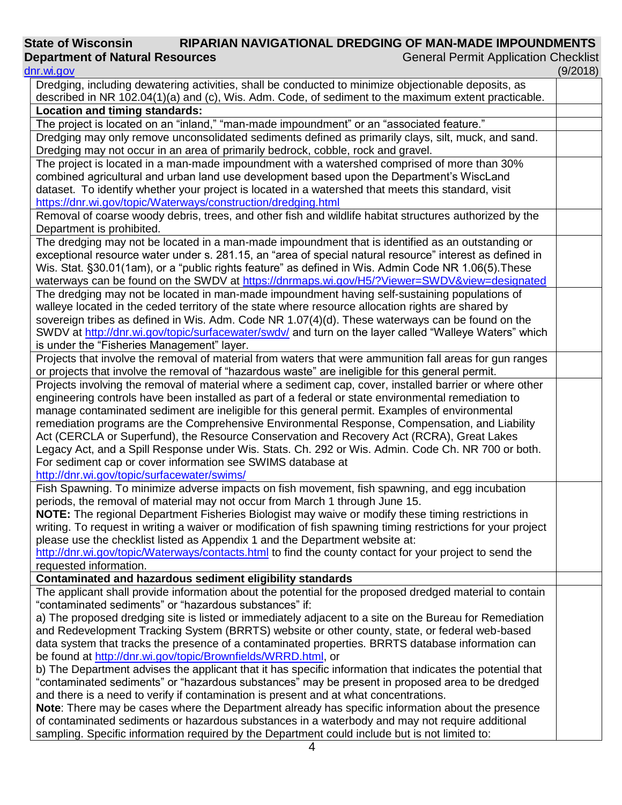#### **State of Wisconsin Department of Natural Resources RIPARIAN NAVIGATIONAL DREDGING OF MAN-MADE IMPOUNDMENTS** General Permit Application Checklist

## [dnr.wi.gov](http://dnr.wi.gov/) (9/2018) Dredging, including dewatering activities, shall be conducted to minimize objectionable deposits, as described in NR 102.04(1)(a) and (c), Wis. Adm. Code, of sediment to the maximum extent practicable. **Location and timing standards:** The project is located on an "inland," "man-made impoundment" or an "associated feature." Dredging may only remove unconsolidated sediments defined as primarily clays, silt, muck, and sand. Dredging may not occur in an area of primarily bedrock, cobble, rock and gravel. The project is located in a man-made impoundment with a watershed comprised of more than 30% combined agricultural and urban land use development based upon the Department's WiscLand dataset. To identify whether your project is located in a watershed that meets this standard, visit <https://dnr.wi.gov/topic/Waterways/construction/dredging.html> Removal of coarse woody debris, trees, and other fish and wildlife habitat structures authorized by the Department is prohibited. The dredging may not be located in a man-made impoundment that is identified as an outstanding or exceptional resource water under s. 281.15, an "area of special natural resource" interest as defined in Wis. Stat. §30.01(1am), or a "public rights feature" as defined in Wis. Admin Code NR 1.06(5). These waterways can be found on the SWDV at <https://dnrmaps.wi.gov/H5/?Viewer=SWDV&view=designated> The dredging may not be located in man-made impoundment having self-sustaining populations of walleye located in the ceded territory of the state where resource allocation rights are shared by sovereign tribes as defined in Wis. Adm. Code NR 1.07(4)(d). These waterways can be found on the SWDV at<http://dnr.wi.gov/topic/surfacewater/swdv/> and turn on the layer called "Walleye Waters" which is under the "Fisheries Management" layer. Projects that involve the removal of material from waters that were ammunition fall areas for gun ranges or projects that involve the removal of "hazardous waste" are ineligible for this general permit. Projects involving the removal of material where a sediment cap, cover, installed barrier or where other engineering controls have been installed as part of a federal or state environmental remediation to manage contaminated sediment are ineligible for this general permit. Examples of environmental remediation programs are the Comprehensive Environmental Response, Compensation, and Liability Act (CERCLA or Superfund), the Resource Conservation and Recovery Act (RCRA), Great Lakes Legacy Act, and a Spill Response under Wis. Stats. Ch. 292 or Wis. Admin. Code Ch. NR 700 or both. For sediment cap or cover information see SWIMS database at <http://dnr.wi.gov/topic/surfacewater/swims/> Fish Spawning. To minimize adverse impacts on fish movement, fish spawning, and egg incubation periods, the removal of material may not occur from March 1 through June 15. **NOTE:** The regional Department Fisheries Biologist may waive or modify these timing restrictions in writing. To request in writing a waiver or modification of fish spawning timing restrictions for your project please use the checklist listed as Appendix 1 and the Department website at: <http://dnr.wi.gov/topic/Waterways/contacts.html> to find the county contact for your project to send the requested information. **Contaminated and hazardous sediment eligibility standards** The applicant shall provide information about the potential for the proposed dredged material to contain "contaminated sediments" or "hazardous substances" if: a) The proposed dredging site is listed or immediately adjacent to a site on the Bureau for Remediation and Redevelopment Tracking System (BRRTS) website or other county, state, or federal web-based data system that tracks the presence of a contaminated properties. BRRTS database information can be found at [http://dnr.wi.gov/topic/Brownfields/WRRD.html,](http://dnr.wi.gov/topic/Brownfields/WRRD.html) or b) The Department advises the applicant that it has specific information that indicates the potential that "contaminated sediments" or "hazardous substances" may be present in proposed area to be dredged and there is a need to verify if contamination is present and at what concentrations. **Note**: There may be cases where the Department already has specific information about the presence of contaminated sediments or hazardous substances in a waterbody and may not require additional sampling. Specific information required by the Department could include but is not limited to: